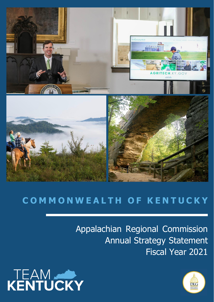

# **C O M M O N W E A L T H O F K E N T U C K Y**

Appalachian Regional Commission Annual Strategy Statement Fiscal Year 2021



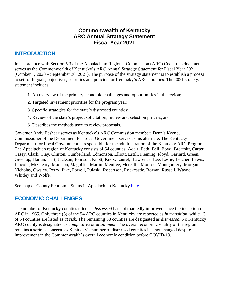## **Commonwealth of Kentucky ARC Annual Strategy Statement Fiscal Year 2021**

## **INTRODUCTION**

In accordance with Section 5.3 of the Appalachian Regional Commission (ARC) Code, this document serves as the Commonwealth of Kentucky's ARC Annual Strategy Statement for Fiscal Year 2021 (October 1, 2020 – September 30, 2021). The purpose of the strategy statement is to establish a process to set forth goals, objectives, priorities and policies for Kentucky's ARC counties. The 2021 strategy statement includes:

- 1. An overview of the primary economic challenges and opportunities in the region;
- 2. Targeted investment priorities for the program year;
- 3. Specific strategies for the state's distressed counties;
- 4. Review of the state's project solicitation, review and selection process; and
- 5. Describes the methods used to review proposals.

Governor Andy Beshear serves as Kentucky's ARC Commission member; Dennis Keene, Commissioner of the Department for Local Government serves as his alternate. The Kentucky Department for Local Government is responsible for the administration of the Kentucky ARC Program. The Appalachian region of Kentucky consists of 54 counties: Adair, Bath, Bell, Boyd, Breathitt, Carter, Casey, Clark, Clay, Clinton, Cumberland, Edmonson, Elliott, Estill, Fleming, Floyd, Garrard, Green, Greenup, Harlan, Hart, Jackson, Johnson, Knott, Knox, Laurel, Lawrence, Lee, Leslie, Letcher, Lewis, Lincoln, McCreary, Madison, Magoffin, Martin, Menifee, Metcalfe, Monroe, Montgomery, Morgan, Nicholas, Owsley, Perry, Pike, Powell, Pulaski, Robertson, Rockcastle, Rowan, Russell, Wayne, Whitley and Wolfe.

See map of County Economic Status in Appalachian Kentucky [here.](https://www.arc.gov/images/appregion/economic_statusFY2021/CountyEconomicStatusandDistressAreasFY2021Kentucky.pdf)

## **ECONOMIC CHALLENGES**

The number of Kentucky counties rated as *distressed* has not markedly improved since the inception of ARC in 1965. Only three (3) of the 54 ARC counties in Kentucky are reported as *in transition,* while 13 of 54 counties are listed as *at risk.* The remaining 38 counties are designated as *distressed.* No Kentucky ARC county is designated as *competitive* or *attainment.* The overall economic vitality of the region remains a serious concern, as Kentucky's number of distressed counties has not changed despite improvement in the Commonwealth's overall economic condition before COVID-19.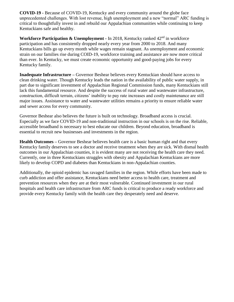**COVID-19 -** Because of COVID-19, Kentucky and every community around the globe face unprecedented challenges. With lost revenue, high unemployment and a new "normal" ARC funding is critical to thoughtfully invest in and rebuild our Appalachian communities while continuing to keep Kentuckians safe and healthy.

**Workforce Participation & Unemployment -** In 2018, Kentucky ranked 42<sup>nd</sup> in workforce participation and has consistently dropped nearly every year from 2000 to 2018. And many Kentuckians bills go up every month while wages remain stagnant. As unemployment and economic strain on our families rise during COID-19, workforce training and assistance are now more critical than ever. In Kentucky, we must create economic opportunity and good-paying jobs for every Kentucky family.

**Inadequate Infrastructure –** Governor Beshear believes every Kentuckian should have access to clean drinking water. Though Kentucky leads the nation in the availability of public water supply, in part due to significant investment of Appalachian Regional Commission funds, many Kentuckians still lack this fundamental resource. And despite the success of rural water and wastewater infrastructure, construction, difficult terrain, citizens' inability to pay rate increases and costly maintenance are still major issues. Assistance to water and wastewater utilities remains a priority to ensure reliable water and sewer access for every community.

Governor Beshear also believes the future is built on technology. Broadband access is crucial. Especially as we face COVID-19 and non-traditional instruction in our schools is on the rise. Reliable, accessible broadband is necessary to best educate our children. Beyond education, broadband is essential to recruit new businesses and investments in the region.

**Health Outcomes –** Governor Beshear believes health care is a basic human right and that every Kentucky family deserves to see a doctor and receive treatment when they are sick. With dismal health outcomes in our Appalachian counties, it is evident many are not receiving the health care they need. Currently, one in three Kentuckians struggles with obesity and Appalachian Kentuckians are more likely to develop COPD and diabetes than Kentuckians in non-Appalachian counties.

Additionally, the opioid epidemic has ravaged families in the region. While efforts have been made to curb addiction and offer assistance, Kentuckians need better access to health care, treatment and prevention resources when they are at their most vulnerable. Continued investment in our rural hospitals and health care infrastructure from ARC funds is critical to produce a ready workforce and provide every Kentucky family with the health care they desperately need and deserve.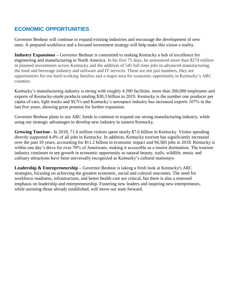## **ECONOMIC OPPORTUNITIES**

Governor Beshear will continue to expand existing industries and encourage the development of new ones. A prepared workforce and a focused investment strategy will help make this vision a reality.

**Industry Expansions –** Governor Beshear is committed to making Kentucky a hub of excellence for engineering and manufacturing in North America. In his first 75 days, he announced more than \$274 million in planned investments across Kentucky and the addition of 545 full-time jobs in advanced manufacturing, the food and beverage industry and software and IT services. These are not just numbers, they are opportunities for our hard-working families and a major area for economic opportunity in Kentucky's ARC counties.

Kentucky's manufacturing industry is strong with roughly 4,500 facilities, more than 260,000 employees and exports of Kentucky-made products totaling \$30.3 billion in 2019. Kentucky is the number one producer per capita of cars, light trucks and SUVs and Kentucky's aerospace industry has increased exports 107% in the last five years, showing great promise for further expansion.

Governor Beshear plans to use ARC funds to continue to expand our strong manufacturing industry, while using our strategic advantages to develop new industry in eastern Kentucky.

**Growing Tourism -** In 2018, 71.6 million visitors spent nearly \$7.6 billion in Kentucky. Visitor spending directly supported 4.4% of all jobs in Kentucky. In addition, Kentucky tourism has significantly increased over the past 10 years, accounting for \$11.2 billion in economic impact and 94,583 jobs in 2018. Kentucky is within one day's drive for over 70% of Americans, making it accessible as a tourist destination. The tourism industry continues to see growth in economic opportunity as natural beauty, trails, wildlife, music and culinary attractions have been universally recognized as Kentucky's cultural mainstays.

**Leadership & Entrepreneurship –** Governor Beshear is taking a fresh look at Kentucky's ARC strategies, focusing on achieving the greatest economic, social and cultural outcomes. The need for workforce readiness, infrastructure, and better health care are critical, but there is also a renewed emphasis on leadership and entrepreneurship. Fostering new leaders and inspiring new entrepreneurs, while assisting those already established, will move our state forward.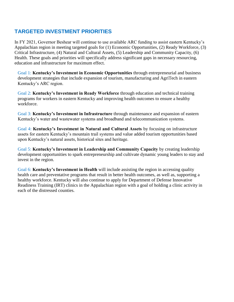## **TARGETED INVESTMENT PRIORITIES**

In FY 2021, Governor Beshear will continue to use available ARC funding to assist eastern Kentucky's Appalachian region in meeting targeted goals for (1) Economic Opportunities, (2) Ready Workforce, (3) Critical Infrastructure, (4) Natural and Cultural Assets, (5) Leadership and Community Capacity, (6) Health. These goals and priorities will specifically address significant gaps in necessary resourcing, education and infrastructure for maximum effect.

Goal 1: **Kentucky's Investment in Economic Opportunities** through entrepreneurial and business development strategies that include expansion of tourism, manufacturing and AgriTech in eastern Kentucky's ARC region.

Goal 2: **Kentucky's Investment in Ready Workforce** through education and technical training programs for workers in eastern Kentucky and improving health outcomes to ensure a healthy workforce.

Goal 3: **Kentucky's Investment in Infrastructure** through maintenance and expansion of eastern Kentucky's water and wastewater systems and broadband and telecommunication systems.

Goal 4: **Kentucky's Investment in Natural and Cultural Assets** by focusing on infrastructure assets for eastern Kentucky's mountain trail systems and value added tourism opportunities based upon Kentucky's natural assets, historical sites and heritage.

Goal 5: **Kentucky's Investment in Leadership and Community Capacity** by creating leadership development opportunities to spark entrepreneurship and cultivate dynamic young leaders to stay and invest in the region.

Goal 6: **Kentucky's Investment in Health** will include assisting the region in accessing quality health care and preventative programs that result in better health outcomes, as well as, supporting a healthy workforce. Kentucky will also continue to apply for Department of Defense Innovative Readiness Training (IRT) clinics in the Appalachian region with a goal of holding a clinic activity in each of the distressed counties.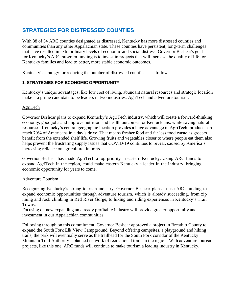## **STRATEGIES FOR DISTRESSED COUNTIES**

With 38 of 54 ARC counties designated as distressed, Kentucky has more distressed counties and communities than any other Appalachian state. These counties have persistent, long-term challenges that have resulted in extraordinary levels of economic and social distress. Governor Beshear's goal for Kentucky's ARC program funding is to invest in projects that will increase the quality of life for Kentucky families and lead to better, more stable economic outcomes.

Kentucky's strategy for reducing the number of distressed counties is as follows:

#### **1. STRATEGIES FOR ECONOMIC OPPORTUNITY**

Kentucky's unique advantages, like low cost of living, abundant natural resources and strategic location make it a prime candidate to be leaders in two industries: AgriTech and adventure tourism.

#### AgriTech

Governor Beshear plans to expand Kentucky's AgriTech industry, which will create a forward-thinking economy, good jobs and improve nutrition and health outcomes for Kentuckians, while saving natural resources. Kentucky's central geographic location provides a huge advantage in AgriTech: produce can reach 70% of Americans in a day's drive. That means fresher food and far less food waste as grocers benefit from the extended shelf life. Growing fruits and vegetables closer to where people eat them also helps prevent the frustrating supply issues that COVID-19 continues to reveal, caused by America's increasing reliance on agricultural imports.

Governor Beshear has made AgriTech a top priority in eastern Kentucky. Using ARC funds to expand AgriTech in the region, could make eastern Kentucky a leader in the industry, bringing economic opportunity for years to come.

#### Adventure Tourism

Recognizing Kentucky's strong tourism industry, Governor Beshear plans to use ARC funding to expand economic opportunities through adventure tourism, which is already succeeding, from zip lining and rock climbing in Red River Gorge, to hiking and riding experiences in Kentucky's Trail Towns.

Focusing on new expanding an already profitable industry will provide greater opportunity and investment in our Appalachian communities.

Following through on this commitment, Governor Beshear approved a project in Breathitt County to expand the South Fork Elk View Campground. Beyond offering campsites, a playground and hiking trails, the park will eventually serve as the trailhead for the South Fork corridor of the Kentucky Mountain Trail Authority's planned network of recreational trails in the region. With adventure tourism projects, like this one, ARC funds will continue to make tourism a leading industry in Kentucky.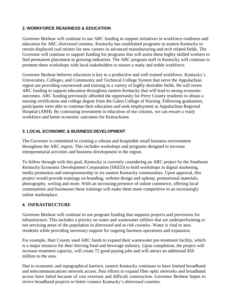#### **2. WORKFORCE READINESS & EDUCATION**

Governor Beshear will continue to use ARC funding to support initiatives in workforce readiness and education for ARC *distressed* counties. Kentucky has established programs in eastern Kentucky to retrain displaced coal miners for new careers in advanced manufacturing and tech related fields. The Governor will continue to support funding for programs that will assist these highly skilled workers to find permanent placement in growing industries. The ARC program staff in Kentucky will continue to promote these workshops with local stakeholders to ensure a ready and stable workforce.

Governor Beshear believes education is key to a productive and well trained workforce. Kentucky's Universities, Colleges, and Community and Technical College System that serve the Appalachian region are providing coursework and training in a variety of highly desirable fields. He will invest ARC funding to support education throughout eastern Kentucky that will lead to strong economic outcomes. ARC funding previously afforded the opportunity for Perry County residents to obtain a nursing certification and college degree from the Galen College of Nursing. Following graduation, participants were able to continue their education and seek employment at Appalachian Regional Hospital (ARH). By continuing investment in education of our citizens, we can ensure a ready workforce and better economic outcomes for Kentuckians.

## **3. LOCAL ECONOMIC & BUSINESS DEVELOPMENT**

The Governor is committed to creating a vibrant and hospitable small business environment throughout the ARC region. This includes workshops and programs designed to increase entrepreneurial activities and business development in the region.

To follow through with this goal, Kentucky is currently considering an ARC project by the Southeast Kentucky Economic Development Corporation (SKED) to hold workshops in digital marketing, media promotion and entrepreneurship in six eastern Kentucky communities. Upon approval, this project would provide trainings on branding, website design and upkeep, promotional materials, photography, writing and more. With an increasing presence of online commerce, offering local communities and businesses these trainings will make them more competitive in an increasingly online marketplace.

## **4. INFRASTRUCTURE**

Governor Beshear will continue to use program funding that supports projects and provisions for infrastructure. This includes a priority on water and wastewater utilities that are underperforming or not servicing areas of the population in *distressed* and at*-risk counties*. Water is vital to area residents while providing necessary support for ongoing business operations and expansion.

For example, Hart County used ARC funds to expand their wastewater pre-treatment facility, which is a major resource for their thriving food and beverage industry. Upon completion, the project will increase treatment capacity, will create 72 good-paying jobs and will attract an additional \$50 million to the area.

Due to economic and topographical barriers, eastern Kentucky continues to have limited broadband and telecommunications network access. Past efforts to expand fiber optic networks and broadband access have failed because of cost overruns and difficult construction. Governor Beshear hopes to revive broadband projects to better connect Kentucky's *distressed* counties.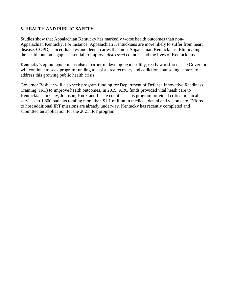#### **5. HEALTH AND PUBLIC SAFETY**

Studies show that Appalachian Kentucky has markedly worse health outcomes than non-Appalachian Kentucky. For instance, Appalachian Kentuckians are more likely to suffer from heart disease, COPD, cancer diabetes and dental caries than non-Appalachian Kentuckians. Eliminating the health outcome gap is essential to improve *distressed* counties and the lives of Kentuckians.

Kentucky's opioid epidemic is also a barrier in developing a healthy, ready workforce. The Governor will continue to seek program funding to assist area recovery and addiction counseling centers to address this growing public health crisis.

Governor Beshear will also seek program funding for Department of Defense Innovative Readiness Training (IRT) to improve health outcomes. In 2019, ARC funds provided vital heath care to Kentuckians in Clay, Johnson, Knox and Leslie counties. This program provided critical medical services to 1,800 patients totaling more than \$1.1 million in medical, dental and vision care. Efforts to host additional IRT missions are already underway. Kentucky has recently completed and submitted an application for the 2021 IRT program.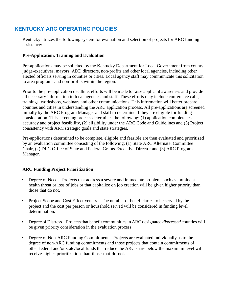# **KENTUCKY ARC OPERATING POLICIES**

Kentucky utilizes the following system for evaluation and selection of projects for ARC funding assistance:

#### **Pre-Application, Training and Evaluation**

Pre-applications may be solicited by the Kentucky Department for Local Government from county judge-executives, mayors, ADD directors, non-profits and other local agencies, including other elected officials serving in counties or cities. Local agency staff may communicate this solicitation to area programs and non-profits within the region.

Prior to the pre-application deadline, efforts will be made to raise applicant awareness and provide all necessary information to local agencies and staff. These efforts may include conference calls, trainings, workshops, webinars and other communications. This information will better prepare counties and cities in understanding the ARC application process. All pre-applications are screened initially by the ARC Program Manager and staff to determine if they are eligible for funding consideration. This screening process determines the following: (1) application completeness, accuracy and project feasibility, (2) eligibility under the ARC Code and Guidelines and (3) Project consistency with ARC strategic goals and state strategies.

Pre-applications determined to be complete, eligible and feasible are then evaluated and prioritized by an evaluation committee consisting of the following: (1) State ARC Alternate, Committee Chair, (2) DLG Office of State and Federal Grants Executive Director and (3) ARC Program Manager.

## **ARC Funding Project Prioritization**

- Degree of Need Projects that address a severe and immediate problem, such as imminent health threat or loss of jobs or that capitalize on job creation will be given higher priority than those that do not.
- **Project Scope and Cost Effectiveness** The number of beneficiaries to be served by the project and the cost per person or household served will be considered in funding level determination.
- **-** Degree of Distress Projects that benefit communities in ARC designated *distressed* counties will be given priority consideration in the evaluation process.
- Degree of Non-ARC Funding Commitment Projects are evaluated individually as to the degree of non-ARC funding commitments and those projects that contain commitments of other federal and/or state/local funds that reduce the ARC share below the maximum level will receive higher prioritization than those that do not.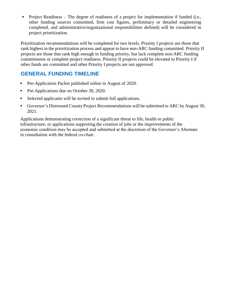Project Readiness – The degree of readiness of a project for implementation if funded (i.e., other funding sources committed, firm cost figures, preliminary or detailed engineering completed, and administrative/organizational responsibilities defined) will be considered in project prioritization.

Prioritization recommendations will be completed for two levels. Priority I projects are those that rank highest in the prioritization process and appear to have non-ARC funding committed. Priority II projects are those that rank high enough in funding priority, but lack complete non-ARC funding commitments or complete project readiness. Priority II projects could be elevated to Priority I if other funds are committed and other Priority I projects are not approved.

# **GENERAL FUNDING TIMELINE**

- **Pre-Application Packet published online in August of 2020.**
- Pre-Applications due on October 30, 2020.
- Selected applicants will be invited to submit full applications.
- Governor's Distressed County Project Recommendations will be submitted to ARC by August 30, 2021.

Applications demonstrating correction of a significant threat to life, health or public infrastructure; or applications supporting the creation of jobs or the improvements of the economic condition may be accepted and submitted at the discretion of the Governor's Alternate in consultation with the federal co-chair.